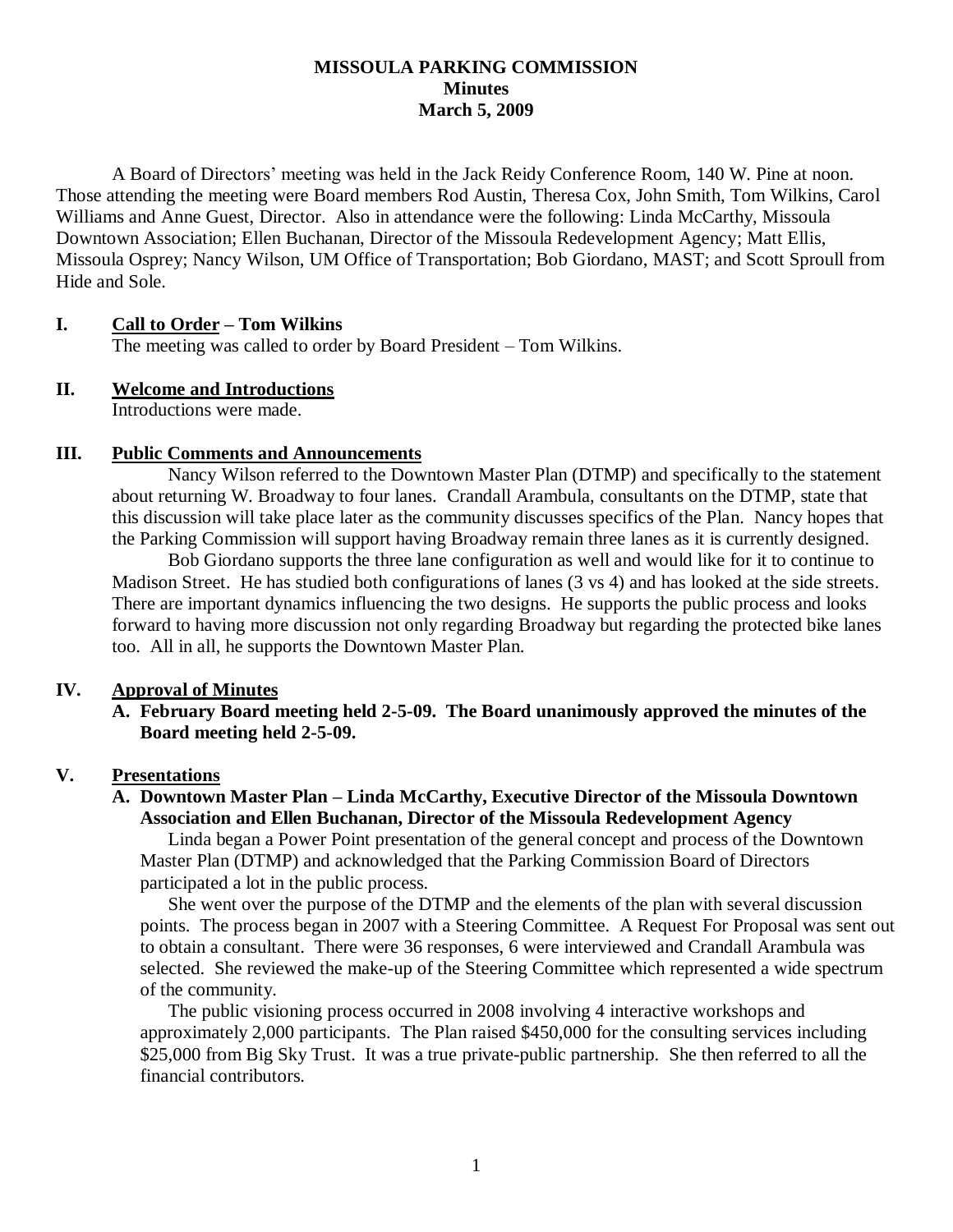### **MISSOULA PARKING COMMISSION Minutes March 5, 2009**

A Board of Directors' meeting was held in the Jack Reidy Conference Room, 140 W. Pine at noon. Those attending the meeting were Board members Rod Austin, Theresa Cox, John Smith, Tom Wilkins, Carol Williams and Anne Guest, Director. Also in attendance were the following: Linda McCarthy, Missoula Downtown Association; Ellen Buchanan, Director of the Missoula Redevelopment Agency; Matt Ellis, Missoula Osprey; Nancy Wilson, UM Office of Transportation; Bob Giordano, MAST; and Scott Sproull from Hide and Sole.

## **I. Call to Order – Tom Wilkins**

The meeting was called to order by Board President – Tom Wilkins.

### **II. Welcome and Introductions**

Introductions were made.

### **III. Public Comments and Announcements**

Nancy Wilson referred to the Downtown Master Plan (DTMP) and specifically to the statement about returning W. Broadway to four lanes. Crandall Arambula, consultants on the DTMP, state that this discussion will take place later as the community discusses specifics of the Plan. Nancy hopes that the Parking Commission will support having Broadway remain three lanes as it is currently designed.

Bob Giordano supports the three lane configuration as well and would like for it to continue to Madison Street. He has studied both configurations of lanes (3 vs 4) and has looked at the side streets. There are important dynamics influencing the two designs. He supports the public process and looks forward to having more discussion not only regarding Broadway but regarding the protected bike lanes too. All in all, he supports the Downtown Master Plan.

### **IV. Approval of Minutes**

**A. February Board meeting held 2-5-09. The Board unanimously approved the minutes of the Board meeting held 2-5-09.**

### **V. Presentations**

## **A. Downtown Master Plan – Linda McCarthy, Executive Director of the Missoula Downtown Association and Ellen Buchanan, Director of the Missoula Redevelopment Agency**

Linda began a Power Point presentation of the general concept and process of the Downtown Master Plan (DTMP) and acknowledged that the Parking Commission Board of Directors participated a lot in the public process.

She went over the purpose of the DTMP and the elements of the plan with several discussion points. The process began in 2007 with a Steering Committee. A Request For Proposal was sent out to obtain a consultant. There were 36 responses, 6 were interviewed and Crandall Arambula was selected. She reviewed the make-up of the Steering Committee which represented a wide spectrum of the community.

The public visioning process occurred in 2008 involving 4 interactive workshops and approximately 2,000 participants. The Plan raised \$450,000 for the consulting services including \$25,000 from Big Sky Trust. It was a true private-public partnership. She then referred to all the financial contributors.